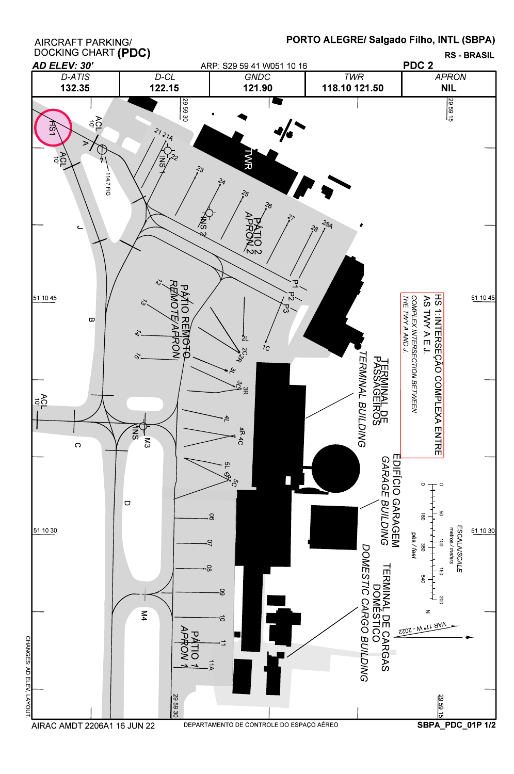AIRCRAFT PARKING/

RS - BRASIL